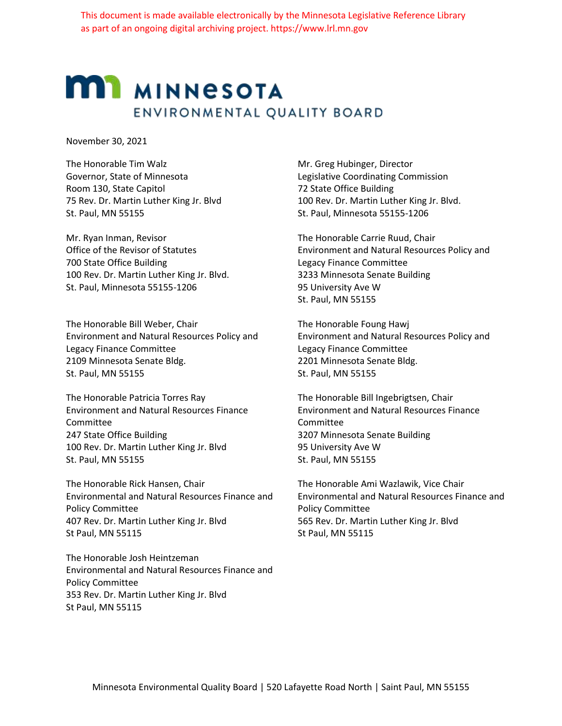## **MI MINNESOTA** ENVIRONMENTAL QUALITY BOARD

November 30, 2021

The Honorable Tim Walz Governor, State of Minnesota Room 130, State Capitol 75 Rev. Dr. Martin Luther King Jr. Blvd St. Paul, MN 55155

Mr. Ryan Inman, Revisor Office of the Revisor of Statutes 700 State Office Building 100 Rev. Dr. Martin Luther King Jr. Blvd. St. Paul, Minnesota 55155-1206

The Honorable Bill Weber, Chair Environment and Natural Resources Policy and Legacy Finance Committee 2109 Minnesota Senate Bldg. St. Paul, MN 55155

The Honorable Patricia Torres Ray Environment and Natural Resources Finance Committee 247 State Office Building 100 Rev. Dr. Martin Luther King Jr. Blvd St. Paul, MN 55155

The Honorable Rick Hansen, Chair Environmental and Natural Resources Finance and Policy Committee 407 Rev. Dr. Martin Luther King Jr. Blvd St Paul, MN 55115

The Honorable Josh Heintzeman Environmental and Natural Resources Finance and Policy Committee 353 Rev. Dr. Martin Luther King Jr. Blvd St Paul, MN 55115

Mr. Greg Hubinger, Director Legislative Coordinating Commission 72 State Office Building 100 Rev. Dr. Martin Luther King Jr. Blvd. St. Paul, Minnesota 55155-1206

The Honorable Carrie Ruud, Chair Environment and Natural Resources Policy and Legacy Finance Committee 3233 Minnesota Senate Building 95 University Ave W St. Paul, MN 55155

The Honorable Foung Hawj Environment and Natural Resources Policy and Legacy Finance Committee 2201 Minnesota Senate Bldg. St. Paul, MN 55155

The Honorable Bill Ingebrigtsen, Chair Environment and Natural Resources Finance Committee 3207 Minnesota Senate Building 95 University Ave W St. Paul, MN 55155

The Honorable Ami Wazlawik, Vice Chair Environmental and Natural Resources Finance and Policy Committee 565 Rev. Dr. Martin Luther King Jr. Blvd St Paul, MN 55115